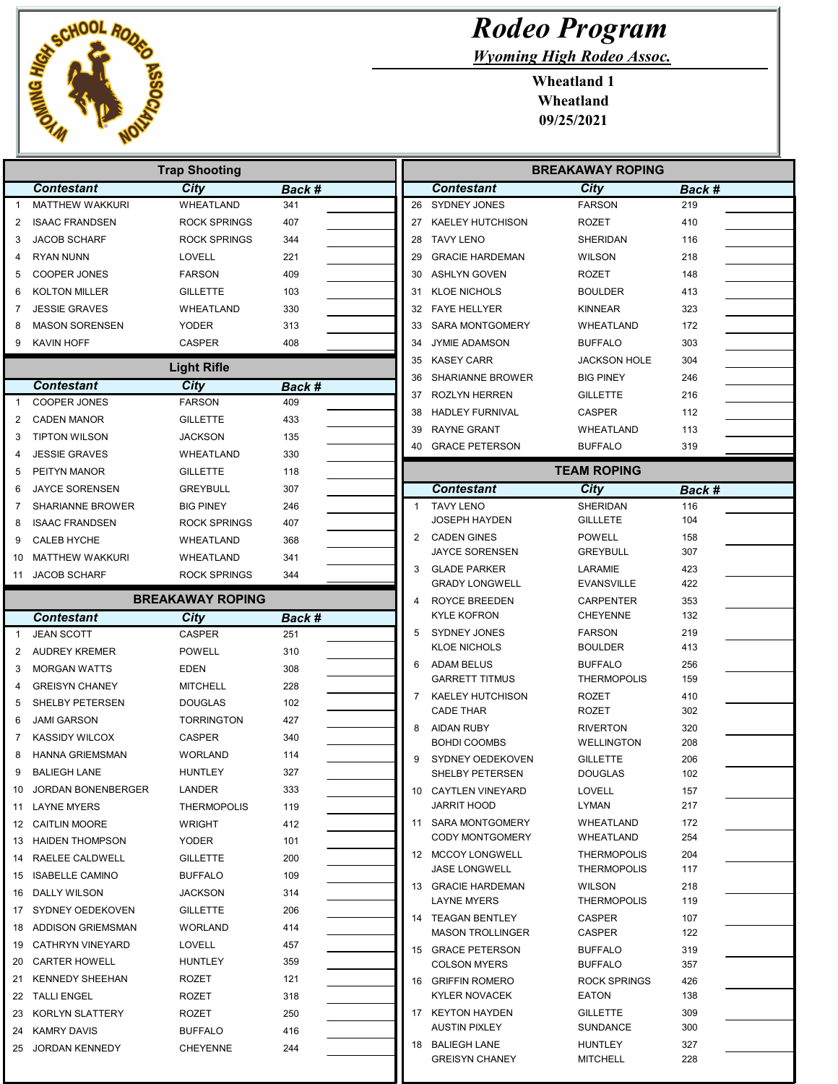

|              |                           | <b>Trap Shooting</b>                    |               |              |                                      |
|--------------|---------------------------|-----------------------------------------|---------------|--------------|--------------------------------------|
|              | <b>Contestant</b>         | City                                    | Back #        |              | <b>Contesta</b>                      |
| $\mathbf{1}$ | <b>MATTHEW WAKKURI</b>    | <b>WHEATLAND</b>                        | 341           | 26           | <b>SYDNEY JO</b>                     |
| 2            | <b>ISAAC FRANDSEN</b>     | <b>ROCK SPRINGS</b>                     | 407           | 27           | <b>KAELEY HU</b>                     |
| 3            | <b>JACOB SCHARF</b>       | <b>ROCK SPRINGS</b>                     | 344           | 28           | <b>TAVY LENO</b>                     |
| 4            | <b>RYAN NUNN</b>          | <b>LOVELL</b>                           | 221           | 29           | <b>GRACIE HA</b>                     |
| 5            | <b>COOPER JONES</b>       | <b>FARSON</b>                           | 409           | 30           | <b>ASHLYN GC</b>                     |
| 6            | <b>KOLTON MILLER</b>      | <b>GILLETTE</b>                         | 103           | 31           | <b>KLOE NICH</b>                     |
| 7            | <b>JESSIE GRAVES</b>      | WHEATLAND                               | 330           | 32           | <b>FAYE HELL</b>                     |
| 8            | <b>MASON SORENSEN</b>     | YODER                                   | 313           | 33           | <b>SARA MON'</b>                     |
| 9            | KAVIN HOFF                | <b>CASPER</b>                           | 408           | 34           | <b>JYMIE ADAM</b>                    |
|              |                           | <b>Light Rifle</b>                      |               | 35           | <b>KASEY CAF</b>                     |
|              | <b>Contestant</b>         | City                                    | <b>Back #</b> | 36           | <b>SHARIANNE</b>                     |
| $\mathbf{1}$ | <b>COOPER JONES</b>       | <b>FARSON</b>                           | 409           | 37           | ROZLYN HE                            |
| 2            | <b>CADEN MANOR</b>        | <b>GILLETTE</b>                         | 433           | 38           | <b>HADLEY FU</b>                     |
| 3            | <b>TIPTON WILSON</b>      | <b>JACKSON</b>                          | 135           | 39           | RAYNE GRA                            |
| 4            | <b>JESSIE GRAVES</b>      | WHEATLAND                               | 330           | 40           | <b>GRACE PET</b>                     |
| 5            | PEITYN MANOR              | <b>GILLETTE</b>                         | 118           |              |                                      |
| 6            | <b>JAYCE SORENSEN</b>     | <b>GREYBULL</b>                         | 307           |              |                                      |
|              |                           |                                         |               | $\mathbf{1}$ | <b>Contesta</b><br><b>TAVY LENO</b>  |
| 7            | <b>SHARIANNE BROWER</b>   | <b>BIG PINEY</b><br><b>ROCK SPRINGS</b> | 246           |              | <b>JOSEPH HA</b>                     |
| 8            | <b>ISAAC FRANDSEN</b>     |                                         | 407           | 2            | <b>CADEN GIN</b>                     |
| 9            | <b>CALEB HYCHE</b>        | WHEATLAND                               | 368           |              | <b>JAYCE SOR</b>                     |
| 10           | MATTHEW WAKKURI           | WHEATLAND                               | 341           | 3            | <b>GLADE PAF</b>                     |
| 11           | <b>JACOB SCHARF</b>       | <b>ROCK SPRINGS</b>                     | 344           |              | <b>GRADY LON</b>                     |
|              |                           | <b>BREAKAWAY ROPING</b>                 |               | 4            | <b>ROYCE BRE</b>                     |
|              | <b>Contestant</b>         | City                                    | Back #        |              | <b>KYLE KOFR</b>                     |
| $\mathbf{1}$ | <b>JEAN SCOTT</b>         | <b>CASPER</b>                           | 251           | 5            | SYDNEY JO                            |
| 2            | <b>AUDREY KREMER</b>      | <b>POWELL</b>                           | 310           |              | <b>KLOE NICH</b>                     |
| 3            | <b>MORGAN WATTS</b>       | <b>EDEN</b>                             | 308           | 6            | <b>ADAM BELL</b>                     |
| 4            | <b>GREISYN CHANEY</b>     | <b>MITCHELL</b>                         | 228           |              | <b>GARRETT T</b>                     |
| 5            | SHELBY PETERSEN           | <b>DOUGLAS</b>                          | 102           | 7            | <b>KAELEY HU</b><br><b>CADE THAF</b> |
| 6            | <b>JAMI GARSON</b>        | <b>TORRINGTON</b>                       | 427           | 8            | <b>AIDAN RUB</b>                     |
| 7            | <b>KASSIDY WILCOX</b>     | <b>CASPER</b>                           | 340           |              | <b>BOHDI COC</b>                     |
| 8            | <b>HANNA GRIEMSMAN</b>    | <b>WORLAND</b>                          | 114           | 9            | SYDNEY OE                            |
| 9            | <b>BALIEGH LANE</b>       | <b>HUNTLEY</b>                          | 327           |              | SHELBY PE                            |
| 10           | <b>JORDAN BONENBERGER</b> | LANDER                                  | 333           |              | 10 CAYTLEN V                         |
| 11           | <b>LAYNE MYERS</b>        | <b>THERMOPOLIS</b>                      | 119           |              | <b>JARRIT HOG</b>                    |
|              | 12 CAITLIN MOORE          | WRIGHT                                  | 412           |              | 11 SARA MON                          |
|              | 13 HAIDEN THOMPSON        | <b>YODER</b>                            | 101           |              | <b>CODY MON</b>                      |
|              | 14 RAELEE CALDWELL        | <b>GILLETTE</b>                         | 200           |              | 12 MCCOY LOI                         |
|              | 15 ISABELLE CAMINO        | <b>BUFFALO</b>                          | 109           |              | JASE LONG                            |
|              | 16 DALLY WILSON           | <b>JACKSON</b>                          | 314           |              | 13 GRACIE HA                         |
|              |                           |                                         | 206           |              | <b>LAYNE MYE</b>                     |
|              | 17 SYDNEY OEDEKOVEN       | <b>GILLETTE</b>                         |               |              |                                      |
|              | 18 ADDISON GRIEMSMAN      | <b>WORLAND</b>                          | 414           |              | 14 TEAGAN BE                         |
|              | 19 CATHRYN VINEYARD       | LOVELL                                  | 457           |              | <b>MASON TRO</b>                     |
|              | 20 CARTER HOWELL          | <b>HUNTLEY</b>                          | 359           |              | 15 GRACE PET                         |
| 21           | <b>KENNEDY SHEEHAN</b>    | ROZET                                   | 121           |              | <b>COLSON M'</b>                     |
|              | 22 TALLI ENGEL            | ROZET                                   | 318           |              | 16 GRIFFIN RC<br><b>KYLER NOV</b>    |
|              | 23 KORLYN SLATTERY        | ROZET                                   | 250           | 17           | <b>KEYTON HA</b>                     |
|              | 24 KAMRY DAVIS            | <b>BUFFALO</b>                          | 416           |              | <b>AUSTIN PIX</b>                    |

## Rodeo Program

Wyoming High Rodeo Assoc.

| <b>BREAKAWAY ROPING</b> |                                               |                                          |               |  |  |  |
|-------------------------|-----------------------------------------------|------------------------------------------|---------------|--|--|--|
|                         | <b>Contestant</b>                             | City                                     | Back #        |  |  |  |
| 26                      | <b>SYDNEY JONES</b>                           | <b>FARSON</b>                            | 219           |  |  |  |
| 27                      | <b>KAELEY HUTCHISON</b>                       | <b>ROZET</b>                             | 410           |  |  |  |
| 28                      | <b>TAVY LENO</b>                              | <b>SHERIDAN</b>                          | 116           |  |  |  |
| 29                      | <b>GRACIE HARDEMAN</b>                        | <b>WILSON</b>                            | 218           |  |  |  |
| 30                      | <b>ASHLYN GOVEN</b>                           | <b>ROZET</b>                             | 148           |  |  |  |
| 31                      | <b>KLOE NICHOLS</b>                           | <b>BOULDER</b>                           | 413           |  |  |  |
| 32                      | <b>FAYE HELLYER</b>                           | KINNEAR                                  | 323           |  |  |  |
| 33                      | <b>SARA MONTGOMERY</b>                        | WHEATLAND                                | 172           |  |  |  |
| 34                      | <b>JYMIE ADAMSON</b>                          | <b>BUFFALO</b>                           | 303           |  |  |  |
| 35                      | <b>KASEY CARR</b>                             | <b>JACKSON HOLE</b>                      | 304           |  |  |  |
|                         |                                               | <b>BIG PINEY</b>                         |               |  |  |  |
| 36                      | <b>SHARIANNE BROWER</b>                       |                                          | 246           |  |  |  |
| 37                      | ROZLYN HERREN                                 | <b>GILLETTE</b>                          | 216           |  |  |  |
| 38                      | <b>HADLEY FURNIVAL</b>                        | CASPER                                   | 112           |  |  |  |
| 39                      | <b>RAYNE GRANT</b>                            | <b>WHEATLAND</b>                         | 113           |  |  |  |
| 40                      | <b>GRACE PETERSON</b>                         | <b>BUFFALO</b>                           | 319           |  |  |  |
|                         |                                               | <b>TEAM ROPING</b>                       |               |  |  |  |
|                         | <b>Contestant</b>                             | City                                     | <b>Back #</b> |  |  |  |
| 1                       | <b>TAVY LENO</b>                              | <b>SHERIDAN</b>                          | 116           |  |  |  |
|                         | JOSEPH HAYDEN                                 | <b>GILLLETE</b>                          | 104           |  |  |  |
| 2                       | <b>CADEN GINES</b>                            | <b>POWELL</b>                            | 158           |  |  |  |
|                         | <b>JAYCE SORENSEN</b>                         | <b>GREYBULL</b>                          | 307           |  |  |  |
| 3                       | <b>GLADE PARKER</b>                           | LARAMIE                                  | 423           |  |  |  |
|                         | <b>GRADY LONGWELL</b>                         | <b>EVANSVILLE</b>                        | 422           |  |  |  |
| 4                       | ROYCE BREEDEN                                 | <b>CARPENTER</b>                         | 353           |  |  |  |
|                         | <b>KYLE KOFRON</b>                            | <b>CHEYENNE</b>                          | 132           |  |  |  |
| 5                       | <b>SYDNEY JONES</b><br><b>KLOE NICHOLS</b>    | <b>FARSON</b><br><b>BOULDER</b>          | 219<br>413    |  |  |  |
| 6                       | <b>ADAM BELUS</b>                             | <b>BUFFALO</b>                           | 256           |  |  |  |
|                         | <b>GARRETT TITMUS</b>                         | <b>THERMOPOLIS</b>                       | 159           |  |  |  |
| 7                       | <b>KAELEY HUTCHISON</b>                       | <b>ROZET</b>                             | 410           |  |  |  |
|                         | <b>CADE THAR</b>                              | ROZET                                    | 302           |  |  |  |
| 8                       | <b>AIDAN RUBY</b>                             | <b>RIVERTON</b>                          | 320           |  |  |  |
|                         | <b>BOHDI COOMBS</b>                           | WELLINGTON                               | 208           |  |  |  |
| 9                       | SYDNEY OEDEKOVEN                              | <b>GILLETTE</b>                          | 206           |  |  |  |
|                         | SHELBY PETERSEN                               | <b>DOUGLAS</b>                           | 102           |  |  |  |
| 10                      | <b>CAYTLEN VINEYARD</b>                       | <b>LOVELL</b>                            | 157           |  |  |  |
|                         | JARRIT HOOD                                   | LYMAN                                    | 217           |  |  |  |
| 11                      | <b>SARA MONTGOMERY</b>                        | <b>WHEATLAND</b>                         | 172           |  |  |  |
|                         | <b>CODY MONTGOMERY</b>                        | WHEATLAND                                | 254           |  |  |  |
| 12                      | <b>MCCOY LONGWELL</b><br><b>JASE LONGWELL</b> | <b>THERMOPOLIS</b><br><b>THERMOPOLIS</b> | 204<br>117    |  |  |  |
| 13                      | <b>GRACIE HARDEMAN</b>                        | <b>WILSON</b>                            | 218           |  |  |  |
|                         | <b>LAYNE MYERS</b>                            | <b>THERMOPOLIS</b>                       | 119           |  |  |  |
| 14                      | <b>TEAGAN BENTLEY</b>                         | <b>CASPER</b>                            | 107           |  |  |  |
|                         | <b>MASON TROLLINGER</b>                       | CASPER                                   | 122           |  |  |  |
| 15                      | <b>GRACE PETERSON</b>                         | <b>BUFFALO</b>                           | 319           |  |  |  |
|                         | <b>COLSON MYERS</b>                           | <b>BUFFALO</b>                           | 357           |  |  |  |
| 16                      | <b>GRIFFIN ROMERO</b>                         | <b>ROCK SPRINGS</b>                      | 426           |  |  |  |
|                         | <b>KYLER NOVACEK</b>                          | <b>EATON</b>                             | 138           |  |  |  |
| 17                      | <b>KEYTON HAYDEN</b>                          | <b>GILLETTE</b>                          | 309           |  |  |  |
|                         | <b>AUSTIN PIXLEY</b>                          | <b>SUNDANCE</b>                          | 300           |  |  |  |
|                         | 18 BALIEGH LANE                               | <b>HUNTLEY</b>                           | 327           |  |  |  |
|                         | <b>GREISYN CHANEY</b>                         | <b>MITCHELL</b>                          | 228           |  |  |  |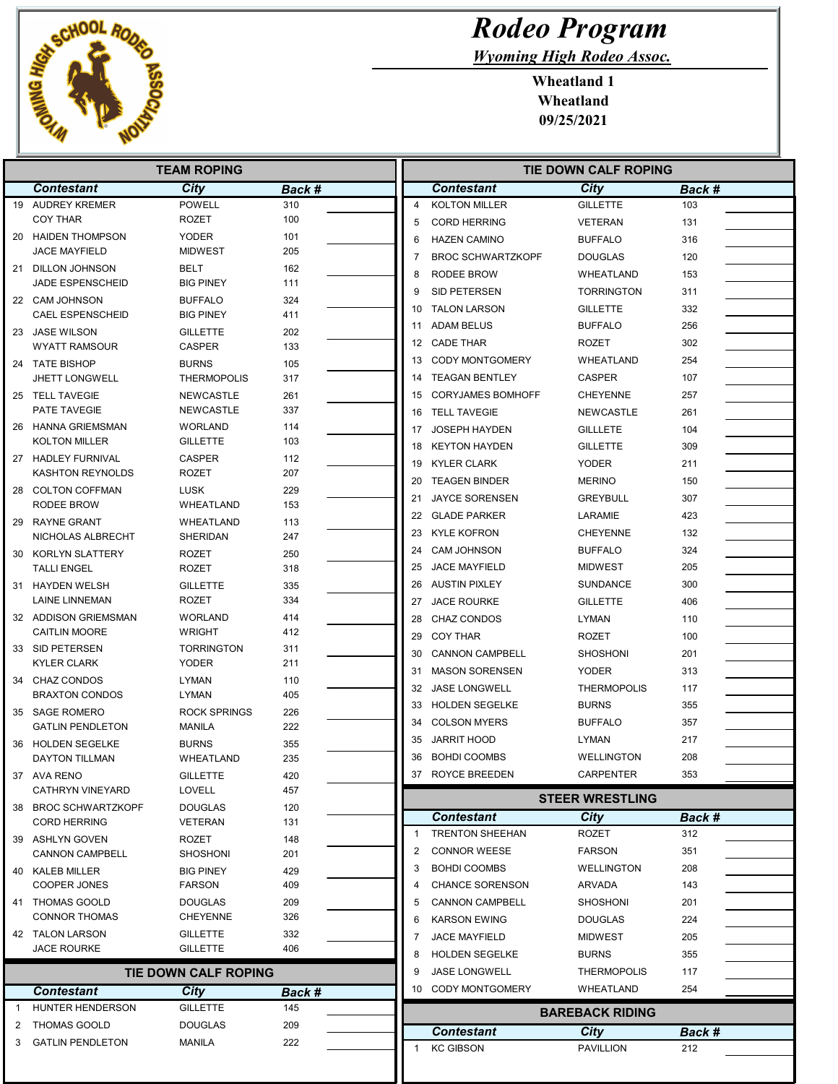

## Rodeo Program

Wyoming High Rodeo Assoc.

| <b>TEAM ROPING</b> |                                           |                                    |            | <b>TIE DOWN CALF ROPING</b> |                |                                           |                                |            |
|--------------------|-------------------------------------------|------------------------------------|------------|-----------------------------|----------------|-------------------------------------------|--------------------------------|------------|
|                    | <b>Contestant</b>                         | City                               | Back #     |                             |                | <b>Contestant</b>                         | City                           | Back #     |
|                    | 19 AUDREY KREMER                          | <b>POWELL</b>                      | 310        |                             | $\overline{4}$ | <b>KOLTON MILLER</b>                      | <b>GILLETTE</b>                | 103        |
|                    | <b>COY THAR</b>                           | <b>ROZET</b>                       | 100        |                             | 5              | <b>CORD HERRING</b>                       | <b>VETERAN</b>                 | 131        |
| 20                 | <b>HAIDEN THOMPSON</b>                    | <b>YODER</b>                       | 101        |                             | 6              | <b>HAZEN CAMINO</b>                       | <b>BUFFALO</b>                 | 316        |
|                    | <b>JACE MAYFIELD</b>                      | <b>MIDWEST</b>                     | 205        |                             | 7              | <b>BROC SCHWARTZKOPF</b>                  | <b>DOUGLAS</b>                 | 120        |
| 21                 | DILLON JOHNSON                            | BELT                               | 162        |                             | 8              | RODEE BROW                                | WHEATLAND                      | 153        |
|                    | <b>JADE ESPENSCHEID</b>                   | <b>BIG PINEY</b>                   | 111        |                             | 9              | SID PETERSEN                              | <b>TORRINGTON</b>              | 311        |
|                    | 22 CAM JOHNSON<br><b>CAEL ESPENSCHEID</b> | <b>BUFFALO</b><br><b>BIG PINEY</b> | 324<br>411 |                             | 10             | <b>TALON LARSON</b>                       | <b>GILLETTE</b>                | 332        |
|                    |                                           |                                    |            |                             | 11             | ADAM BELUS                                | <b>BUFFALO</b>                 | 256        |
|                    | 23 JASE WILSON<br><b>WYATT RAMSOUR</b>    | <b>GILLETTE</b><br><b>CASPER</b>   | 202<br>133 |                             |                | 12 CADE THAR                              | <b>ROZET</b>                   | 302        |
|                    | 24 TATE BISHOP                            | <b>BURNS</b>                       | 105        |                             | 13             | <b>CODY MONTGOMERY</b>                    | WHEATLAND                      | 254        |
|                    | <b>JHETT LONGWELL</b>                     | <b>THERMOPOLIS</b>                 | 317        |                             | 14             | <b>TEAGAN BENTLEY</b>                     | <b>CASPER</b>                  | 107        |
|                    | 25 TELL TAVEGIE                           | NEWCASTLE                          | 261        |                             | 15             | <b>CORYJAMES BOMHOFF</b>                  | <b>CHEYENNE</b>                | 257        |
|                    | PATE TAVEGIE                              | NEWCASTLE                          | 337        |                             | 16             | <b>TELL TAVEGIE</b>                       | <b>NEWCASTLE</b>               | 261        |
| 26                 | <b>HANNA GRIEMSMAN</b>                    | <b>WORLAND</b>                     | 114        |                             | 17             | JOSEPH HAYDEN                             | <b>GILLLETE</b>                | 104        |
|                    | KOLTON MILLER                             | <b>GILLETTE</b>                    | 103        |                             | 18             | <b>KEYTON HAYDEN</b>                      | <b>GILLETTE</b>                | 309        |
| 27                 | HADLEY FURNIVAL                           | <b>CASPER</b>                      | 112        |                             | 19             | <b>KYLER CLARK</b>                        | <b>YODER</b>                   | 211        |
|                    | <b>KASHTON REYNOLDS</b>                   | ROZET                              | 207        |                             | 20             | <b>TEAGEN BINDER</b>                      | <b>MERINO</b>                  | 150        |
| 28                 | <b>COLTON COFFMAN</b>                     | <b>LUSK</b>                        | 229        |                             | 21             | <b>JAYCE SORENSEN</b>                     | <b>GREYBULL</b>                | 307        |
|                    | RODEE BROW                                | WHEATLAND                          | 153        |                             | 22             | <b>GLADE PARKER</b>                       | LARAMIE                        | 423        |
| 29                 | <b>RAYNE GRANT</b>                        | WHEATLAND                          | 113        |                             |                | 23 KYLE KOFRON                            | <b>CHEYENNE</b>                | 132        |
|                    | NICHOLAS ALBRECHT                         | SHERIDAN                           | 247        |                             | 24             | <b>CAM JOHNSON</b>                        | <b>BUFFALO</b>                 | 324        |
| 30                 | KORLYN SLATTERY<br><b>TALLI ENGEL</b>     | ROZET<br>ROZET                     | 250<br>318 |                             | 25             | <b>JACE MAYFIELD</b>                      | <b>MIDWEST</b>                 | 205        |
|                    |                                           | <b>GILLETTE</b>                    |            |                             | 26             | AUSTIN PIXLEY                             | <b>SUNDANCE</b>                | 300        |
| 31                 | <b>HAYDEN WELSH</b><br>LAINE LINNEMAN     | <b>ROZET</b>                       | 335<br>334 |                             | 27             | JACE ROURKE                               | <b>GILLETTE</b>                | 406        |
|                    | 32 ADDISON GRIEMSMAN                      | <b>WORLAND</b>                     | 414        |                             | 28             | CHAZ CONDOS                               | LYMAN                          | 110        |
|                    | <b>CAITLIN MOORE</b>                      | <b>WRIGHT</b>                      | 412        |                             | 29             | <b>COY THAR</b>                           | <b>ROZET</b>                   | 100        |
| 33                 | SID PETERSEN                              | <b>TORRINGTON</b>                  | 311        |                             | 30             | <b>CANNON CAMPBELL</b>                    | <b>SHOSHONI</b>                | 201        |
|                    | KYLER CLARK                               | <b>YODER</b>                       | 211        |                             | 31             | <b>MASON SORENSEN</b>                     | <b>YODER</b>                   | 313        |
| 34                 | <b>CHAZ CONDOS</b>                        | <b>LYMAN</b>                       | 110        |                             | 32             | JASE LONGWELL                             | <b>THERMOPOLIS</b>             | 117        |
|                    | <b>BRAXTON CONDOS</b>                     | LYMAN                              | 405        |                             | 33             | <b>HOLDEN SEGELKE</b>                     | <b>BURNS</b>                   | 355        |
| 35                 | <b>SAGE ROMERO</b>                        | <b>ROCK SPRINGS</b>                | 226        |                             |                |                                           |                                |            |
|                    | <b>GATLIN PENDLETON</b>                   | MANILA                             | 222        |                             | 34<br>35       | <b>COLSON MYERS</b><br><b>JARRIT HOOD</b> | <b>BUFFALO</b><br><b>LYMAN</b> | 357<br>217 |
| 36                 | <b>HOLDEN SEGELKE</b>                     | <b>BURNS</b>                       | 355        |                             |                |                                           | <b>WELLINGTON</b>              |            |
|                    | DAYTON TILLMAN                            | WHEATLAND                          | 235        |                             | 36             | <b>BOHDI COOMBS</b>                       |                                | 208        |
|                    | 37 AVA RENO<br>CATHRYN VINEYARD           | <b>GILLETTE</b><br>LOVELL          | 420<br>457 |                             |                | ROYCE BREEDEN                             | CARPENTER                      | 353        |
|                    | 38 BROC SCHWARTZKOPF                      | <b>DOUGLAS</b>                     | 120        |                             |                |                                           | <b>STEER WRESTLING</b>         |            |
|                    | <b>CORD HERRING</b>                       | <b>VETERAN</b>                     | 131        |                             |                | <b>Contestant</b>                         | City                           | Back #     |
|                    | 39 ASHLYN GOVEN                           | ROZET                              | 148        |                             |                | <b>TRENTON SHEEHAN</b>                    | <b>ROZET</b>                   | 312        |
|                    | <b>CANNON CAMPBELL</b>                    | <b>SHOSHONI</b>                    | 201        |                             | 2              | <b>CONNOR WEESE</b>                       | <b>FARSON</b>                  | 351        |
|                    | 40 KALEB MILLER                           | <b>BIG PINEY</b>                   | 429        |                             | 3              | <b>BOHDI COOMBS</b>                       | WELLINGTON                     | 208        |
|                    | <b>COOPER JONES</b>                       | <b>FARSON</b>                      | 409        |                             |                | CHANCE SORENSON                           | ARVADA                         | 143        |
|                    | 41 THOMAS GOOLD                           | <b>DOUGLAS</b>                     | 209        |                             | 5              | <b>CANNON CAMPBELL</b>                    | <b>SHOSHONI</b>                | 201        |
|                    | <b>CONNOR THOMAS</b>                      | <b>CHEYENNE</b>                    | 326        |                             | 6              | <b>KARSON EWING</b>                       | <b>DOUGLAS</b>                 | 224        |
|                    | 42 TALON LARSON                           | <b>GILLETTE</b>                    | 332        |                             |                | <b>JACE MAYFIELD</b>                      | <b>MIDWEST</b>                 | 205        |
|                    | <b>JACE ROURKE</b>                        | <b>GILLETTE</b>                    | 406        |                             | 8              | <b>HOLDEN SEGELKE</b>                     | <b>BURNS</b>                   | 355        |
|                    |                                           | TIE DOWN CALF ROPING               |            |                             | 9              | <b>JASE LONGWELL</b>                      | <b>THERMOPOLIS</b>             | 117        |
|                    | <b>Contestant</b>                         | City                               | Back #     |                             |                | 10 CODY MONTGOMERY                        | WHEATLAND                      | 254        |
|                    | HUNTER HENDERSON                          | <b>GILLETTE</b>                    | 145        |                             |                |                                           | <b>BAREBACK RIDING</b>         |            |
| 2                  | <b>THOMAS GOOLD</b>                       | <b>DOUGLAS</b>                     | 209        |                             |                | <b>Contestant</b>                         | City                           | Back #     |
| 3                  | <b>GATLIN PENDLETON</b>                   | MANILA                             | 222        |                             |                | <b>KC GIBSON</b>                          | <b>PAVILLION</b>               | 212        |
|                    |                                           |                                    |            |                             |                |                                           |                                |            |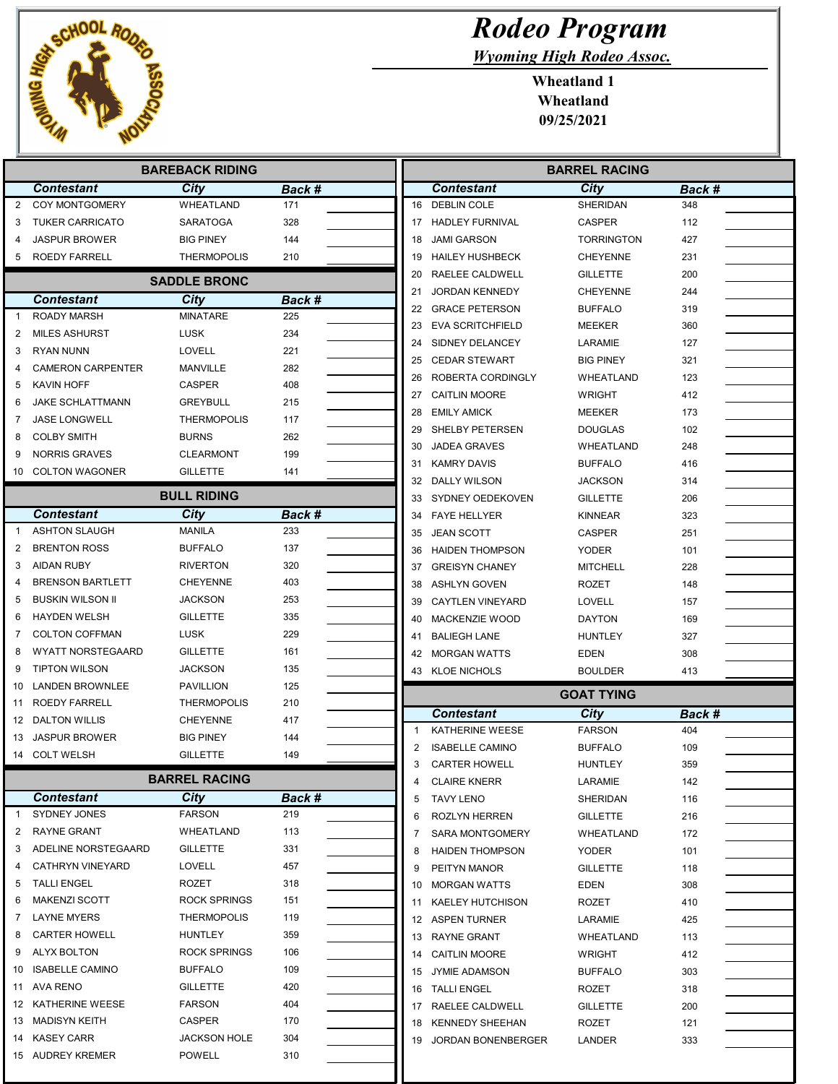

| <b>Rodeo Program</b> |  |  |
|----------------------|--|--|
|                      |  |  |

Wyoming High Rodeo Assoc.

| <b>BAREBACK RIDING</b> |                                         |                                    |            | <b>BARREL RACING</b>            |                   |        |
|------------------------|-----------------------------------------|------------------------------------|------------|---------------------------------|-------------------|--------|
|                        | <b>Contestant</b>                       | City                               | Back #     | <b>Contestant</b>               | City              | Back # |
| $\overline{2}$         | COY MONTGOMERY                          | <b>WHEATLAND</b>                   | 171        | 16 DEBLIN COLE                  | <b>SHERIDAN</b>   | 348    |
| 3                      | <b>TUKER CARRICATO</b>                  | <b>SARATOGA</b>                    | 328        | 17 HADLEY FURNIVAL              | <b>CASPER</b>     | 112    |
|                        | JASPUR BROWER                           | <b>BIG PINEY</b>                   | 144        | <b>JAMI GARSON</b><br>18        | <b>TORRINGTON</b> | 427    |
| 5                      | <b>ROEDY FARRELL</b>                    | <b>THERMOPOLIS</b>                 | 210        | <b>HAILEY HUSHBECK</b><br>19    | <b>CHEYENNE</b>   | 231    |
|                        |                                         | <b>SADDLE BRONC</b>                |            | 20<br>RAELEE CALDWELL           | <b>GILLETTE</b>   | 200    |
|                        | <b>Contestant</b>                       | City                               | Back #     | <b>JORDAN KENNEDY</b><br>21     | <b>CHEYENNE</b>   | 244    |
| 1                      | <b>ROADY MARSH</b>                      | <b>MINATARE</b>                    | 225        | 22 GRACE PETERSON               | <b>BUFFALO</b>    | 319    |
| 2                      | <b>MILES ASHURST</b>                    | <b>LUSK</b>                        | 234        | <b>EVA SCRITCHFIELD</b><br>23   | MEEKER            | 360    |
| 3                      | <b>RYAN NUNN</b>                        | LOVELL                             | 221        | SIDNEY DELANCEY<br>24           | LARAMIE           | 127    |
| 4                      | <b>CAMERON CARPENTER</b>                | MANVILLE                           | 282        | <b>CEDAR STEWART</b><br>25      | <b>BIG PINEY</b>  | 321    |
| 5                      | KAVIN HOFF                              | <b>CASPER</b>                      | 408        | ROBERTA CORDINGLY<br>26         | WHEATLAND         | 123    |
| 6                      | JAKE SCHLATTMANN                        | <b>GREYBULL</b>                    | 215        | <b>CAITLIN MOORE</b><br>27      | <b>WRIGHT</b>     | 412    |
| 7                      | <b>JASE LONGWELL</b>                    | <b>THERMOPOLIS</b>                 | 117        | 28<br><b>EMILY AMICK</b>        | <b>MEEKER</b>     | 173    |
| 8                      | <b>COLBY SMITH</b>                      | <b>BURNS</b>                       | 262        | SHELBY PETERSEN<br>29           | <b>DOUGLAS</b>    | 102    |
| 9                      | <b>NORRIS GRAVES</b>                    | <b>CLEARMONT</b>                   | 199        | <b>JADEA GRAVES</b><br>30       | <b>WHEATLAND</b>  | 248    |
| 10                     | <b>COLTON WAGONER</b>                   | <b>GILLETTE</b>                    | 141        | <b>KAMRY DAVIS</b><br>31        | <b>BUFFALO</b>    | 416    |
|                        |                                         |                                    |            | 32 DALLY WILSON                 | <b>JACKSON</b>    | 314    |
|                        |                                         | <b>BULL RIDING</b>                 |            | SYDNEY OEDEKOVEN<br>33          | <b>GILLETTE</b>   | 206    |
|                        | <b>Contestant</b>                       | City                               | Back #     | 34 FAYE HELLYER                 | <b>KINNEAR</b>    | 323    |
| 1                      | <b>ASHTON SLAUGH</b>                    | <b>MANILA</b>                      | 233        | <b>JEAN SCOTT</b><br>35         | <b>CASPER</b>     | 251    |
| 2                      | <b>BRENTON ROSS</b>                     | <b>BUFFALO</b>                     | 137        | <b>HAIDEN THOMPSON</b><br>36    | <b>YODER</b>      | 101    |
| 3                      | <b>AIDAN RUBY</b>                       | <b>RIVERTON</b>                    | 320        | <b>GREISYN CHANEY</b><br>37     | <b>MITCHELL</b>   | 228    |
| 4                      | <b>BRENSON BARTLETT</b>                 | <b>CHEYENNE</b>                    | 403        | 38<br><b>ASHLYN GOVEN</b>       | <b>ROZET</b>      | 148    |
| 5                      | <b>BUSKIN WILSON II</b>                 | <b>JACKSON</b>                     | 253        | <b>CAYTLEN VINEYARD</b><br>39   | <b>LOVELL</b>     | 157    |
| 6                      | <b>HAYDEN WELSH</b>                     | <b>GILLETTE</b>                    | 335        | <b>MACKENZIE WOOD</b><br>40     | <b>DAYTON</b>     | 169    |
| 7                      | <b>COLTON COFFMAN</b>                   | <b>LUSK</b>                        | 229        | <b>BALIEGH LANE</b><br>41       | <b>HUNTLEY</b>    | 327    |
| 8                      | <b>WYATT NORSTEGAARD</b>                | <b>GILLETTE</b>                    | 161        | 42 MORGAN WATTS                 | EDEN              | 308    |
| 9<br>10                | <b>TIPTON WILSON</b><br>LANDEN BROWNLEE | <b>JACKSON</b><br><b>PAVILLION</b> | 135<br>125 | 43 KLOE NICHOLS                 | <b>BOULDER</b>    | 413    |
| 11                     | ROEDY FARRELL                           | <b>THERMOPOLIS</b>                 | 210        |                                 | <b>GOAT TYING</b> |        |
| 12                     | <b>DALTON WILLIS</b>                    | <b>CHEYENNE</b>                    | 417        | <b>Contestant</b>               | City              | Back # |
| 13                     | <b>JASPUR BROWER</b>                    | <b>BIG PINEY</b>                   | 144        | KATHERINE WEESE<br>$\mathbf{1}$ | <b>FARSON</b>     | 404    |
|                        | 14 COLT WELSH                           | <b>GILLETTE</b>                    | 149        | 2<br><b>ISABELLE CAMINO</b>     | <b>BUFFALO</b>    | 109    |
|                        |                                         |                                    |            | <b>CARTER HOWELL</b><br>3       | <b>HUNTLEY</b>    | 359    |
|                        |                                         | <b>BARREL RACING</b>               |            | <b>CLAIRE KNERR</b><br>4        | LARAMIE           | 142    |
|                        | <b>Contestant</b>                       | City                               | Back #     | <b>TAVY LENO</b><br>5           | SHERIDAN          | 116    |
| $\mathbf{1}$           | <b>SYDNEY JONES</b>                     | <b>FARSON</b>                      | 219        | 6<br>ROZLYN HERREN              | <b>GILLETTE</b>   | 216    |
| 2                      | RAYNE GRANT                             | WHEATLAND                          | 113        | SARA MONTGOMERY<br>7            | WHEATLAND         | 172    |
| 3                      | ADELINE NORSTEGAARD                     | <b>GILLETTE</b>                    | 331        | <b>HAIDEN THOMPSON</b><br>8     | <b>YODER</b>      | 101    |
| 4                      | <b>CATHRYN VINEYARD</b>                 | LOVELL                             | 457        | PEITYN MANOR<br>9               | <b>GILLETTE</b>   | 118    |
| 5                      | <b>TALLI ENGEL</b>                      | ROZET                              | 318        | <b>MORGAN WATTS</b><br>10       | EDEN              | 308    |
| 6                      | <b>MAKENZI SCOTT</b>                    | <b>ROCK SPRINGS</b>                | 151        | <b>KAELEY HUTCHISON</b><br>11   | ROZET             | 410    |
| 7                      | <b>LAYNE MYERS</b>                      | <b>THERMOPOLIS</b>                 | 119        | 12 ASPEN TURNER                 | LARAMIE           | 425    |
| 8                      | <b>CARTER HOWELL</b>                    | HUNTLEY                            | 359        | 13 RAYNE GRANT                  | WHEATLAND         | 113    |
| 9                      | <b>ALYX BOLTON</b>                      | ROCK SPRINGS                       | 106        | <b>CAITLIN MOORE</b><br>14      | <b>WRIGHT</b>     | 412    |
| 10                     | <b>ISABELLE CAMINO</b>                  | <b>BUFFALO</b>                     | 109        | <b>JYMIE ADAMSON</b><br>15      | <b>BUFFALO</b>    | 303    |
| 11                     | AVA RENO                                | <b>GILLETTE</b>                    | 420        | 16 TALLI ENGEL                  | ROZET             | 318    |
| 12                     | KATHERINE WEESE                         | <b>FARSON</b>                      | 404        | 17 RAELEE CALDWELL              | <b>GILLETTE</b>   | 200    |
| 13                     | MADISYN KEITH                           | CASPER                             | 170        | KENNEDY SHEEHAN<br>18           | ROZET             | 121    |
|                        | 14 KASEY CARR                           | <b>JACKSON HOLE</b>                | 304        | JORDAN BONENBERGER<br>19        | LANDER            | 333    |
|                        | 15 AUDREY KREMER                        | <b>POWELL</b>                      | 310        |                                 |                   |        |
|                        |                                         |                                    |            |                                 |                   |        |